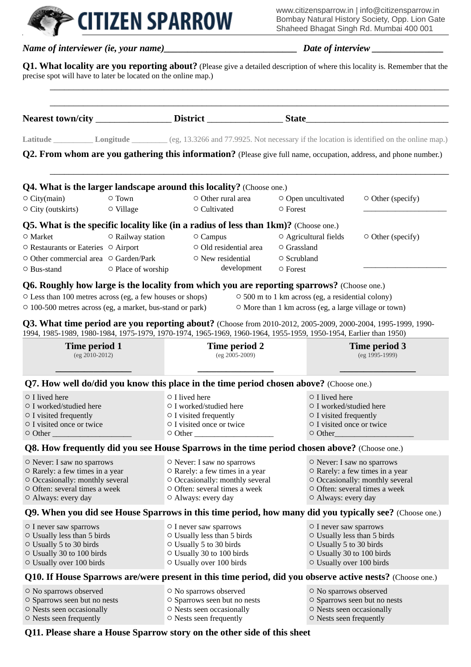www.citizensparrow.in | info@citizensparrow.in Bombay Natural History Society, Opp. Lion Gate Shaheed Bhagat Singh Rd. Mumbai 400 001

|                                                                                                                        |                     |                                                         |                                          |                                                 |                                                   | <b>Dianced Dilayat Singh Ku. Munipal 400 001</b>                                                                            |
|------------------------------------------------------------------------------------------------------------------------|---------------------|---------------------------------------------------------|------------------------------------------|-------------------------------------------------|---------------------------------------------------|-----------------------------------------------------------------------------------------------------------------------------|
|                                                                                                                        |                     |                                                         |                                          |                                                 |                                                   |                                                                                                                             |
| precise spot will have to later be located on the online map.)                                                         |                     |                                                         |                                          |                                                 |                                                   | Q1. What locality are you reporting about? (Please give a detailed description of where this locality is. Remember that the |
|                                                                                                                        |                     |                                                         |                                          |                                                 |                                                   |                                                                                                                             |
|                                                                                                                        |                     |                                                         |                                          |                                                 |                                                   | Latitude Longitude Ceg, 13.3266 and 77.9925. Not necessary if the location is identified on the online map.)                |
|                                                                                                                        |                     |                                                         |                                          |                                                 |                                                   | Q2. From whom are you gathering this information? (Please give full name, occupation, address, and phone number.)           |
| <b>Q4. What is the larger landscape around this locality?</b> (Choose one.)                                            |                     |                                                         |                                          |                                                 |                                                   |                                                                                                                             |
| $\circ$ City(main)<br>$\circ$ City (outskirts)                                                                         | ○ Town<br>○ Village |                                                         | $\circ$ Other rural area<br>○ Cultivated | O Open uncultivated<br>○ Forest                 |                                                   | $\circ$ Other (specify)                                                                                                     |
|                                                                                                                        |                     |                                                         |                                          |                                                 |                                                   |                                                                                                                             |
| <b>Q5. What is the specific locality like (in a radius of less than 1km)?</b> (Choose one.)                            | ○ Railway station   |                                                         |                                          | $\circ$ Agricultural fields                     |                                                   |                                                                                                                             |
| $\circ$ Market                                                                                                         |                     |                                                         | ○ Campus<br>○ Old residential area       | $\circ$ Grassland                               |                                                   | ○ Other (specify)                                                                                                           |
| ○ Restaurants or Eateries ○ Airport<br>○ Other commercial area ○ Garden/Park                                           |                     |                                                         | $\circ$ New residential                  |                                                 |                                                   |                                                                                                                             |
| $\circ$ Bus-stand                                                                                                      | ○ Place of worship  |                                                         | development                              | ○ Scrubland<br>○ Forest                         |                                                   |                                                                                                                             |
| <b>Q6. Roughly how large is the locality from which you are reporting sparrows?</b> (Choose one.)                      |                     |                                                         |                                          |                                                 |                                                   |                                                                                                                             |
| O Less than 100 metres across (eg, a few houses or shops)<br>○ 100-500 metres across (eg, a market, bus-stand or park) |                     |                                                         |                                          |                                                 | ○ 500 m to 1 km across (eg, a residential colony) | $\circ$ More than 1 km across (eg, a large village or town)                                                                 |
| Q3. What time period are you reporting about? (Choose from 2010-2012, 2005-2009, 2000-2004, 1995-1999, 1990-           |                     |                                                         |                                          |                                                 |                                                   |                                                                                                                             |
| 1994, 1985-1989, 1980-1984, 1975-1979, 1970-1974, 1965-1969, 1960-1964, 1955-1959, 1950-1954, Earlier than 1950)       |                     |                                                         |                                          |                                                 |                                                   |                                                                                                                             |
| Time period 1                                                                                                          |                     | Time period 2                                           |                                          |                                                 | Time period 3                                     |                                                                                                                             |
| (eg 2010-2012)                                                                                                         |                     |                                                         | (eg 2005-2009)                           |                                                 |                                                   | (eg 1995-1999)                                                                                                              |
|                                                                                                                        |                     |                                                         |                                          |                                                 |                                                   |                                                                                                                             |
| Q7. How well do/did you know this place in the time period chosen above? (Choose one.)                                 |                     |                                                         |                                          |                                                 |                                                   |                                                                                                                             |
| ○ I lived here                                                                                                         |                     | $\circ$ I lived here                                    |                                          | $\circ$ I lived here<br>○ I worked/studied here |                                                   |                                                                                                                             |
| ○ I worked/studied here<br>$\circ$ I visited frequently                                                                |                     | ○ I worked/studied here<br>$\circ$ I visited frequently |                                          | $\circ$ I visited frequently                    |                                                   |                                                                                                                             |
| ○ I visited once or twice                                                                                              |                     | ○ I visited once or twice                               |                                          | ○ I visited once or twice                       |                                                   |                                                                                                                             |
| $\circ$ Other                                                                                                          |                     | $\circ$ Other                                           |                                          | ○ Other                                         |                                                   |                                                                                                                             |
| Q8. How frequently did you see House Sparrows in the time period chosen above? (Choose one.)                           |                     |                                                         |                                          |                                                 |                                                   |                                                                                                                             |
| ○ Never: I saw no sparrows                                                                                             |                     | O Never: I saw no sparrows                              |                                          | O Never: I saw no sparrows                      |                                                   |                                                                                                                             |
| ○ Rarely: a few times in a year                                                                                        |                     | ○ Rarely: a few times in a year                         |                                          |                                                 |                                                   | ○ Rarely: a few times in a year                                                                                             |
| O Occasionally: monthly several                                                                                        |                     | O Occasionally: monthly several                         |                                          | O Occasionally: monthly several                 |                                                   |                                                                                                                             |
| ○ Often: several times a week<br>O Always: every day                                                                   |                     | ○ Often: several times a week<br>O Always: every day    |                                          | O Always: every day                             |                                                   | O Often: several times a week                                                                                               |
|                                                                                                                        |                     |                                                         |                                          |                                                 |                                                   |                                                                                                                             |

**EXAMPLE CITIZEN SPARROW** 

#### **Q9. When you did see House Sparrows in this time period, how many did you typically see?** (Choose one.)

○ I never saw sparrows ○ Usually less than 5 birds ○ Usually 5 to 30 birds ○ Usually 30 to 100 birds ○ Usually over 100 birds ○ I never saw sparrows ○ Usually less than 5 birds ○ Usually 5 to 30 birds ○ Usually 30 to 100 birds ○ Usually over 100 birds ○ I never saw sparrows ○ Usually less than 5 birds ○ Usually 5 to 30 birds ○ Usually 30 to 100 birds ○ Usually over 100 birds

#### **Q10. If House Sparrows are/were present in this time period, did you observe active nests?** (Choose one.)

○ No sparrows observed ○ Sparrows seen but no nests ○ Nests seen occasionally ○ Nests seen frequently ○ No sparrows observed ○ Sparrows seen but no nests ○ Nests seen occasionally ○ Nests seen frequently ○ No sparrows observed ○ Sparrows seen but no nests ○ Nests seen occasionally ○ Nests seen frequently

#### **Q11. Please share a House Sparrow story on the other side of this sheet**